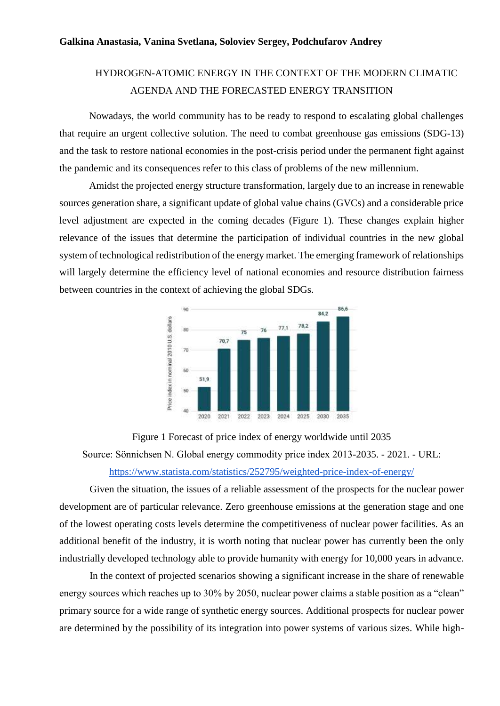## HYDROGEN-ATOMIC ENERGY IN THE CONTEXT OF THE MODERN CLIMATIC AGENDA AND THE FORECASTED ENERGY TRANSITION

Nowadays, the world community has to be ready to respond to escalating global challenges that require an urgent collective solution. The need to combat greenhouse gas emissions (SDG-13) and the task to restore national economies in the post-crisis period under the permanent fight against the pandemic and its consequences refer to this class of problems of the new millennium.

Amidst the projected energy structure transformation, largely due to an increase in renewable sources generation share, a significant update of global value chains (GVCs) and a considerable price level adjustment are expected in the coming decades (Figure 1). These changes explain higher relevance of the issues that determine the participation of individual countries in the new global system of technological redistribution of the energy market. The emerging framework of relationships will largely determine the efficiency level of national economies and resource distribution fairness between countries in the context of achieving the global SDGs.



Figure 1 Forecast of price index of energy worldwide until 2035 Source: Sönnichsen N. Global energy commodity price index 2013-2035. - 2021. - URL: <https://www.statista.com/statistics/252795/weighted-price-index-of-energy/>

Given the situation, the issues of a reliable assessment of the prospects for the nuclear power development are of particular relevance. Zero greenhouse emissions at the generation stage and one of the lowest operating costs levels determine the competitiveness of nuclear power facilities. As an additional benefit of the industry, it is worth noting that nuclear power has currently been the only industrially developed technology able to provide humanity with energy for 10,000 years in advance.

In the context of projected scenarios showing a significant increase in the share of renewable energy sources which reaches up to 30% by 2050, nuclear power claims a stable position as a "clean" primary source for a wide range of synthetic energy sources. Additional prospects for nuclear power are determined by the possibility of its integration into power systems of various sizes. While high